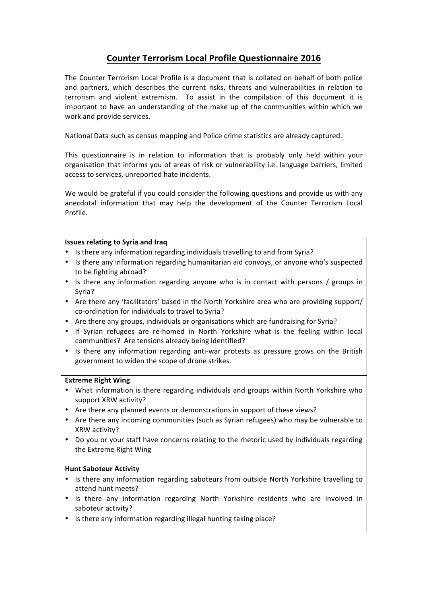# **Counter Terrorism Local Profile Questionnaire 2016**

The Counter Terrorism Local Profile is a document that is collated on behalf of both police and partners, which describes the current risks, threats and vulnerabilities in relation to terrorism and violent extremism. To assist in the compilation of this document it is important to have an understanding of the make up of the communities within which we work and provide services.

National Data such as census mapping and Police crime statistics are already captured.

This questionnaire is in relation to information that is probably only held within your organisation that informs you of areas of risk or vulnerability i.e. language barriers, limited access to services, unreported hate incidents.

We would be grateful if you could consider the following questions and provide us with any anecdotal information that may help the development of the Counter Terrorism Local Profile.

## **Issues relating to Syria and Iraq**

- Is there any information regarding individuals travelling to and from Syria?
- Is there any information regarding humanitarian aid convoys, or anyone who's suspected to be fighting abroad?
- Is there any information regarding anyone who is in contact with persons / groups in Syria?
- Are there any 'facilitators' based in the North Yorkshire area who are providing support/ co-ordination for individuals to travel to Syria?
- Are there any groups, individuals or organisations which are fundraising for Syria?
- If Syrian refugees are re-homed in North Yorkshire what is the feeling within local communities? Are tensions already being identified?
- Is there any information regarding anti-war protests as pressure grows on the British government to widen the scope of drone strikes.

## **Extreme Right Wing**

- What information is there regarding individuals and groups within North Yorkshire who support XRW activity?
- Are there any planned events or demonstrations in support of these views?
- Are there any incoming communities (such as Syrian refugees) who may be vulnerable to XRW activity?
- Do you or your staff have concerns relating to the rhetoric used by individuals regarding the Extreme Right Wing

## **Hunt Saboteur Activity**

- Is there any information regarding saboteurs from outside North Yorkshire travelling to attend hunt meets?
- Is there any information regarding North Yorkshire residents who are involved in saboteur activity?
- Is there any information regarding illegal hunting taking place?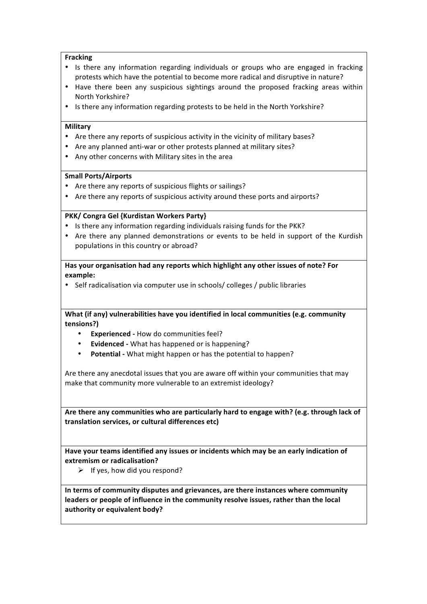## **Fracking**

- Is there any information regarding individuals or groups who are engaged in fracking protests which have the potential to become more radical and disruptive in nature?
- Have there been any suspicious sightings around the proposed fracking areas within North Yorkshire?
- Is there any information regarding protests to be held in the North Yorkshire?

#### **Military**

- Are there any reports of suspicious activity in the vicinity of military bases?
- Are any planned anti-war or other protests planned at military sites?
- Any other concerns with Military sites in the area

#### **Small Ports/Airports**

- Are there any reports of suspicious flights or sailings?
- Are there any reports of suspicious activity around these ports and airports?

## **PKK/ Congra Gel {Kurdistan Workers Party}**

- Is there any information regarding individuals raising funds for the PKK?
- Are there any planned demonstrations or events to be held in support of the Kurdish populations in this country or abroad?

## Has your organisation had any reports which highlight any other issues of note? For **example:**

• Self radicalisation via computer use in schools/ colleges / public libraries

**What (if any) vulnerabilities have you identified in local communities (e.g. community tensions?)**

- **Experienced** How do communities feel?
- **Evidenced** What has happened or is happening?
- **Potential** What might happen or has the potential to happen?

Are there any anecdotal issues that you are aware off within your communities that may make that community more vulnerable to an extremist ideology?

Are there any communities who are particularly hard to engage with? (e.g. through lack of **translation services, or cultural differences etc)**

Have your teams identified any issues or incidents which may be an early indication of **extremism or radicalisation?** 

 $\triangleright$  If yes, how did you respond?

In terms of community disputes and grievances, are there instances where community leaders or people of influence in the community resolve issues, rather than the local authority or equivalent body?